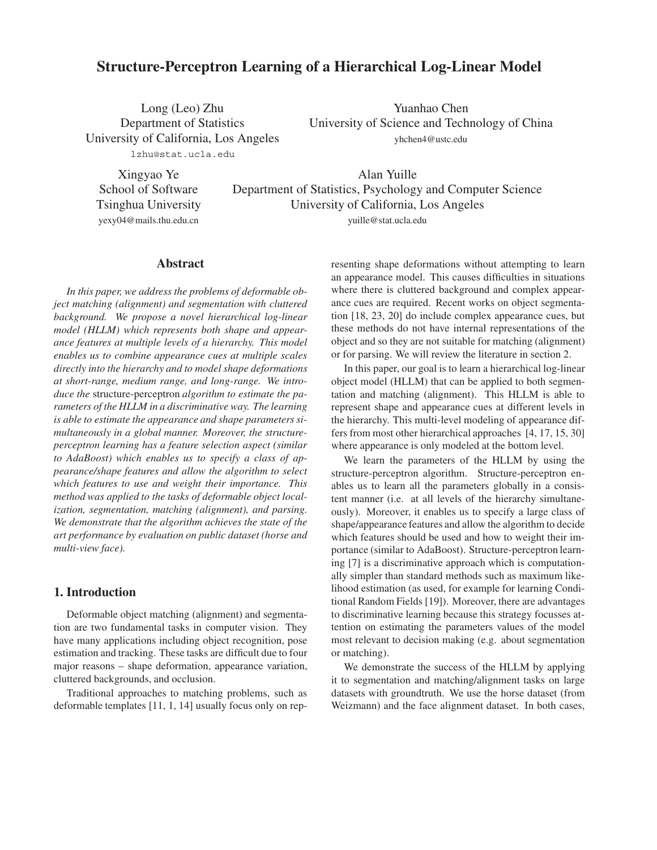# **Structure-Perceptron Learning of a Hierarchical Log-Linear Model**

Long (Leo) Zhu Department of Statistics University of California, Los Angeles

Yuanhao Chen University of Science and Technology of China yhchen4@ustc.edu

lzhu@stat.ucla.edu

Xingyao Ye School of Software Tsinghua University yexy04@mails.thu.edu.cn

Alan Yuille Department of Statistics, Psychology and Computer Science University of California, Los Angeles

yuille@stat.ucla.edu

### **Abstract**

*In this paper, we address the problems of deformable object matching (alignment) and segmentation with cluttered background. We propose a novel hierarchical log-linear model (HLLM) which represents both shape and appearance features at multiple levels of a hierarchy. This model enables us to combine appearance cues at multiple scales directly into the hierarchy and to model shape deformations at short-range, medium range, and long-range. We introduce the* structure-perceptron *algorithm to estimate the parameters of the HLLM in a discriminative way. The learning is able to estimate the appearance and shape parameters simultaneously in a global manner. Moreover, the structureperceptron learning has a feature selection aspect (similar to AdaBoost) which enables us to specify a class of appearance/shape features and allow the algorithm to select which features to use and weight their importance. This method was applied to the tasks of deformable object localization, segmentation, matching (alignment), and parsing. We demonstrate that the algorithm achieves the state of the art performance by evaluation on public dataset (horse and multi-view face).*

### **1. Introduction**

Deformable object matching (alignment) and segmentation are two fundamental tasks in computer vision. They have many applications including object recognition, pose estimation and tracking. These tasks are difficult due to four major reasons – shape deformation, appearance variation, cluttered backgrounds, and occlusion.

Traditional approaches to matching problems, such as deformable templates [11, 1, 14] usually focus only on representing shape deformations without attempting to learn an appearance model. This causes difficulties in situations where there is cluttered background and complex appearance cues are required. Recent works on object segmentation [18, 23, 20] do include complex appearance cues, but these methods do not have internal representations of the object and so they are not suitable for matching (alignment) or for parsing. We will review the literature in section 2.

In this paper, our goal is to learn a hierarchical log-linear object model (HLLM) that can be applied to both segmentation and matching (alignment). This HLLM is able to represent shape and appearance cues at different levels in the hierarchy. This multi-level modeling of appearance differs from most other hierarchical approaches [4, 17, 15, 30] where appearance is only modeled at the bottom level.

We learn the parameters of the HLLM by using the structure-perceptron algorithm. Structure-perceptron enables us to learn all the parameters globally in a consistent manner (i.e. at all levels of the hierarchy simultaneously). Moreover, it enables us to specify a large class of shape/appearance features and allow the algorithm to decide which features should be used and how to weight their importance (similar to AdaBoost). Structure-perceptron learning [7] is a discriminative approach which is computationally simpler than standard methods such as maximum likelihood estimation (as used, for example for learning Conditional Random Fields [19]). Moreover, there are advantages to discriminative learning because this strategy focusses attention on estimating the parameters values of the model most relevant to decision making (e.g. about segmentation or matching).

We demonstrate the success of the HLLM by applying it to segmentation and matching/alignment tasks on large datasets with groundtruth. We use the horse dataset (from Weizmann) and the face alignment dataset. In both cases,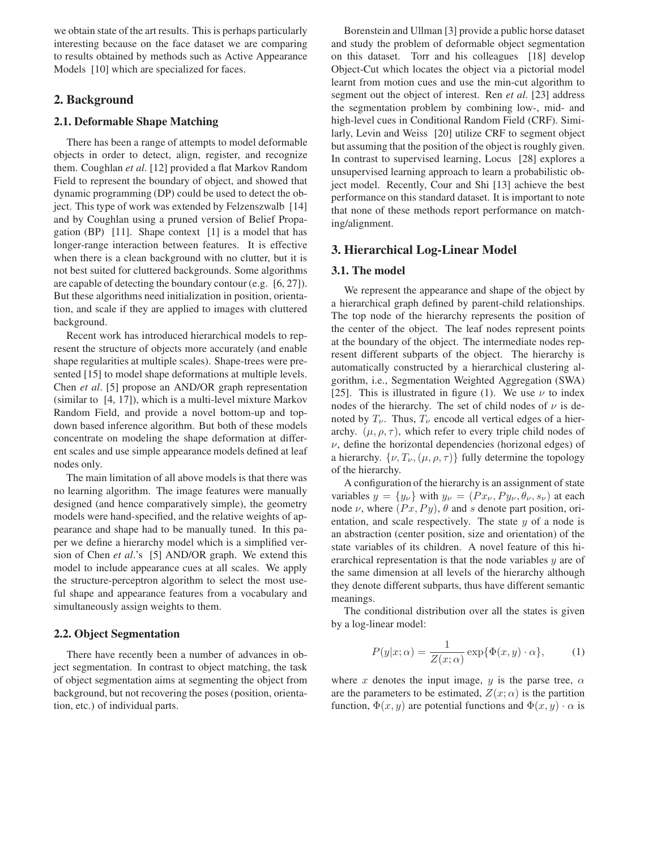we obtain state of the art results. This is perhaps particularly interesting because on the face dataset we are comparing to results obtained by methods such as Active Appearance Models [10] which are specialized for faces.

# **2. Background**

### **2.1. Deformable Shape Matching**

There has been a range of attempts to model deformable objects in order to detect, align, register, and recognize them. Coughlan *et al*. [12] provided a flat Markov Random Field to represent the boundary of object, and showed that dynamic programming (DP) could be used to detect the object. This type of work was extended by Felzenszwalb [14] and by Coughlan using a pruned version of Belief Propagation (BP) [11]. Shape context [1] is a model that has longer-range interaction between features. It is effective when there is a clean background with no clutter, but it is not best suited for cluttered backgrounds. Some algorithms are capable of detecting the boundary contour (e.g. [6, 27]). But these algorithms need initialization in position, orientation, and scale if they are applied to images with cluttered background.

Recent work has introduced hierarchical models to represent the structure of objects more accurately (and enable shape regularities at multiple scales). Shape-trees were presented [15] to model shape deformations at multiple levels. Chen *et al*. [5] propose an AND/OR graph representation (similar to [4, 17]), which is a multi-level mixture Markov Random Field, and provide a novel bottom-up and topdown based inference algorithm. But both of these models concentrate on modeling the shape deformation at different scales and use simple appearance models defined at leaf nodes only.

The main limitation of all above models is that there was no learning algorithm. The image features were manually designed (and hence comparatively simple), the geometry models were hand-specified, and the relative weights of appearance and shape had to be manually tuned. In this paper we define a hierarchy model which is a simplified version of Chen *et al*.'s [5] AND/OR graph. We extend this model to include appearance cues at all scales. We apply the structure-perceptron algorithm to select the most useful shape and appearance features from a vocabulary and simultaneously assign weights to them.

#### **2.2. Object Segmentation**

There have recently been a number of advances in object segmentation. In contrast to object matching, the task of object segmentation aims at segmenting the object from background, but not recovering the poses (position, orientation, etc.) of individual parts.

Borenstein and Ullman [3] provide a public horse dataset and study the problem of deformable object segmentation on this dataset. Torr and his colleagues [18] develop Object-Cut which locates the object via a pictorial model learnt from motion cues and use the min-cut algorithm to segment out the object of interest. Ren *et al*. [23] address the segmentation problem by combining low-, mid- and high-level cues in Conditional Random Field (CRF). Similarly, Levin and Weiss [20] utilize CRF to segment object but assuming that the position of the object is roughly given. In contrast to supervised learning, Locus [28] explores a unsupervised learning approach to learn a probabilistic object model. Recently, Cour and Shi [13] achieve the best performance on this standard dataset. It is important to note that none of these methods report performance on matching/alignment.

### **3. Hierarchical Log-Linear Model**

#### **3.1. The model**

We represent the appearance and shape of the object by a hierarchical graph defined by parent-child relationships. The top node of the hierarchy represents the position of the center of the object. The leaf nodes represent points at the boundary of the object. The intermediate nodes represent different subparts of the object. The hierarchy is automatically constructed by a hierarchical clustering algorithm, i.e., Segmentation Weighted Aggregation (SWA) [25]. This is illustrated in figure (1). We use  $\nu$  to index nodes of the hierarchy. The set of child nodes of  $\nu$  is denoted by  $T_{\nu}$ . Thus,  $T_{\nu}$  encode all vertical edges of a hierarchy.  $(\mu, \rho, \tau)$ , which refer to every triple child nodes of  $\nu$ , define the horizontal dependencies (horizonal edges) of a hierarchy.  $\{\nu, T_{\nu}, (\mu, \rho, \tau)\}\$  fully determine the topology of the hierarchy.

A configuration of the hierarchy is an assignment of state variables  $y = \{y_\nu\}$  with  $y_\nu = (Px_\nu, Py_\nu, \theta_\nu, s_\nu)$  at each node  $\nu$ , where  $(Px, Py)$ ,  $\theta$  and s denote part position, orientation, and scale respectively. The state  $y$  of a node is an abstraction (center position, size and orientation) of the state variables of its children. A novel feature of this hierarchical representation is that the node variables  $y$  are of the same dimension at all levels of the hierarchy although they denote different subparts, thus have different semantic meanings.

The conditional distribution over all the states is given by a log-linear model:

$$
P(y|x; \alpha) = \frac{1}{Z(x; \alpha)} \exp{\{\Phi(x, y) \cdot \alpha\}},\tag{1}
$$

where x denotes the input image, y is the parse tree,  $\alpha$ are the parameters to be estimated,  $Z(x; \alpha)$  is the partition function,  $\Phi(x, y)$  are potential functions and  $\Phi(x, y) \cdot \alpha$  is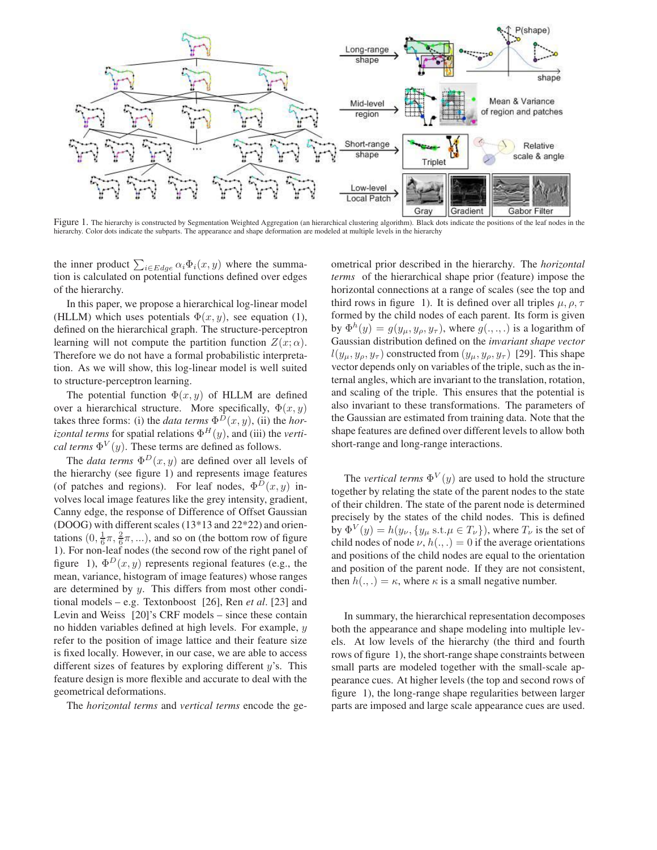

Figure 1. The hierarchy is constructed by Segmentation Weighted Aggregation (an hierarchical clustering algorithm). Black dots indicate the positions of the leaf nodes in the hierarchy. Color dots indicate the subparts. The appearance and shape deformation are modeled at multiple levels in the hierarchy

the inner product  $\sum_{i \in Edge} \alpha_i \Phi_i(x, y)$  where the summation is calculated on potential functions defined over edges of the hierarchy.

In this paper, we propose a hierarchical log-linear model (HLLM) which uses potentials  $\Phi(x, y)$ , see equation (1), defined on the hierarchical graph. The structure-perceptron learning will not compute the partition function  $Z(x; \alpha)$ . Therefore we do not have a formal probabilistic interpretation. As we will show, this log-linear model is well suited to structure-perceptron learning.

The potential function  $\Phi(x, y)$  of HLLM are defined over a hierarchical structure. More specifically,  $\Phi(x, y)$ takes three forms: (i) the *data terms*  $\Phi^{D}(x, y)$ , (ii) the *horizontal terms* for spatial relations  $\Phi^H(y)$ , and (iii) the *vertical terms*  $\Phi^V(y)$ . These terms are defined as follows.

The *data terms*  $\Phi^D(x, y)$  are defined over all levels of the hierarchy (see figure 1) and represents image features (of patches and regions). For leaf nodes,  $\Phi^D(x, y)$  involves local image features like the grey intensity, gradient, Canny edge, the response of Difference of Offset Gaussian (DOOG) with different scales (13\*13 and 22\*22) and orientations  $(0, \frac{1}{6}\pi, \frac{2}{6}\pi, ...)$ , and so on (the bottom row of figure 1). For non-leaf nodes (the second row of the right panel of 1). For non-leaf nodes (the second row of the right panel of figure 1),  $\Phi^{D}(x, y)$  represents regional features (e.g., the mean, variance, histogram of image features) whose ranges are determined by y. This differs from most other conditional models – e.g. Textonboost [26], Ren *et al*. [23] and Levin and Weiss [20]'s CRF models – since these contain no hidden variables defined at high levels. For example, y refer to the position of image lattice and their feature size is fixed locally. However, in our case, we are able to access different sizes of features by exploring different  $y$ 's. This feature design is more flexible and accurate to deal with the geometrical deformations.

The *horizontal terms* and *vertical terms* encode the ge-

ometrical prior described in the hierarchy. The *horizontal terms* of the hierarchical shape prior (feature) impose the horizontal connections at a range of scales (see the top and third rows in figure 1). It is defined over all triples  $\mu$ ,  $\rho$ ,  $\tau$ formed by the child nodes of each parent. Its form is given by  $\Phi^h(y) = g(y_\mu, y_\rho, y_\tau)$ , where  $g(., ., .)$  is a logarithm of Gaussian distribution defined on the *invariant shape vector*  $l(y_\mu, y_\rho, y_\tau)$  constructed from  $(y_\mu, y_\rho, y_\tau)$  [29]. This shape vector depends only on variables of the triple, such as the internal angles, which are invariant to the translation, rotation, and scaling of the triple. This ensures that the potential is also invariant to these transformations. The parameters of the Gaussian are estimated from training data. Note that the shape features are defined over different levels to allow both short-range and long-range interactions.

The *vertical terms*  $\Phi^V(y)$  are used to hold the structure together by relating the state of the parent nodes to the state of their children. The state of the parent node is determined precisely by the states of the child nodes. This is defined by  $\Phi^V(y) = h(y_\nu, \{y_\mu \text{ s.t. } \mu \in T_\nu\})$ , where  $T_\nu$  is the set of child nodes of node  $\nu$ ,  $h(.,.)=0$  if the average orientations and positions of the child nodes are equal to the orientation and position of the parent node. If they are not consistent, then  $h(.,.) = \kappa$ , where  $\kappa$  is a small negative number.

In summary, the hierarchical representation decomposes both the appearance and shape modeling into multiple levels. At low levels of the hierarchy (the third and fourth rows of figure 1), the short-range shape constraints between small parts are modeled together with the small-scale appearance cues. At higher levels (the top and second rows of figure 1), the long-range shape regularities between larger parts are imposed and large scale appearance cues are used.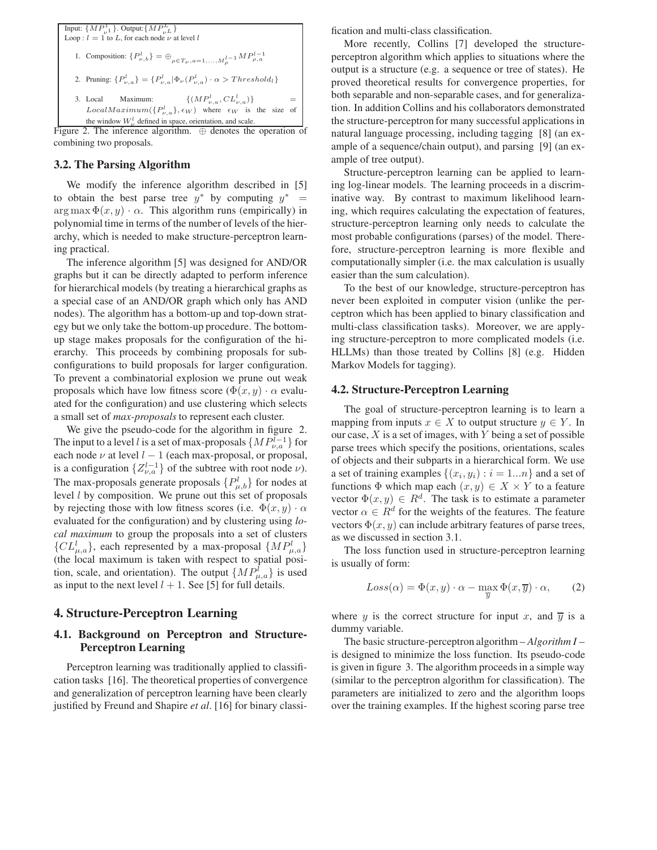

combining two proposals.

# **3.2. The Parsing Algorithm**

We modify the inference algorithm described in [5] to obtain the best parse tree  $y^*$  by computing  $y^*$  =  $\arg \max \Phi(x, y) \cdot \alpha$ . This algorithm runs (empirically) in polynomial time in terms of the number of levels of the hierarchy, which is needed to make structure-perceptron learning practical.

The inference algorithm [5] was designed for AND/OR graphs but it can be directly adapted to perform inference for hierarchical models (by treating a hierarchical graphs as a special case of an AND/OR graph which only has AND nodes). The algorithm has a bottom-up and top-down strategy but we only take the bottom-up procedure. The bottomup stage makes proposals for the configuration of the hierarchy. This proceeds by combining proposals for subconfigurations to build proposals for larger configuration. To prevent a combinatorial explosion we prune out weak proposals which have low fitness score ( $\Phi(x, y) \cdot \alpha$  evaluated for the configuration) and use clustering which selects a small set of *max-proposals* to represent each cluster.

We give the pseudo-code for the algorithm in figure 2. The input to a level l is a set of max-proposals  $\{MP_{\nu,a}^{l-1}\}$  for each node  $\nu$  at level  $l - 1$  (each max-proposal, or proposal, is a configuration  $\{Z_{\nu,a}^{l-1}\}$  of the subtree with root node  $\nu$ ). The max-proposals generate proposals  $\{P_{\mu,b}^l\}$  for nodes at level *l* by composition. We prupe out this set of proposals level  $l$  by composition. We prune out this set of proposals by rejecting those with low fitness scores (i.e.  $\Phi(x, y) \cdot \alpha$ evaluated for the configuration) and by clustering using *local maximum* to group the proposals into a set of clusters  $\{CL_{\mu,a}^l\}$ , each represented by a max-proposal  $\{MP_{\mu,a}^l\}$ <br>(the local maximum is taken with respect to spatial posi-(the local maximum is taken with respect to spatial position, scale, and orientation). The output  $\{MP_{\mu,a}\}$  is used<br>as input to the next level  $l+1$ . See 151 for full details as input to the next level  $l + 1$ . See [5] for full details.

## **4. Structure-Perceptron Learning**

# **4.1. Background on Perceptron and Structure-Perceptron Learning**

Perceptron learning was traditionally applied to classification tasks [16]. The theoretical properties of convergence and generalization of perceptron learning have been clearly justified by Freund and Shapire *et al*. [16] for binary classification and multi-class classification.

More recently, Collins [7] developed the structureperceptron algorithm which applies to situations where the output is a structure (e.g. a sequence or tree of states). He proved theoretical results for convergence properties, for both separable and non-separable cases, and for generalization. In addition Collins and his collaborators demonstrated the structure-perceptron for many successful applications in natural language processing, including tagging [8] (an example of a sequence/chain output), and parsing [9] (an example of tree output).

Structure-perceptron learning can be applied to learning log-linear models. The learning proceeds in a discriminative way. By contrast to maximum likelihood learning, which requires calculating the expectation of features, structure-perceptron learning only needs to calculate the most probable configurations (parses) of the model. Therefore, structure-perceptron learning is more flexible and computationally simpler (i.e. the max calculation is usually easier than the sum calculation).

To the best of our knowledge, structure-perceptron has never been exploited in computer vision (unlike the perceptron which has been applied to binary classification and multi-class classification tasks). Moreover, we are applying structure-perceptron to more complicated models (i.e. HLLMs) than those treated by Collins [8] (e.g. Hidden Markov Models for tagging).

#### **4.2. Structure-Perceptron Learning**

The goal of structure-perceptron learning is to learn a mapping from inputs  $x \in X$  to output structure  $y \in Y$ . In our case,  $X$  is a set of images, with  $Y$  being a set of possible parse trees which specify the positions, orientations, scales of objects and their subparts in a hierarchical form. We use a set of training examples  $\{(x_i, y_i) : i = 1...n\}$  and a set of functions  $\Phi$  which map each  $(x, y) \in X \times Y$  to a feature vector  $\Phi(x, y) \in R^d$ . The task is to estimate a parameter vector  $\alpha \in R^d$  for the weights of the features. The feature vectors  $\Phi(x, y)$  can include arbitrary features of parse trees, as we discussed in section 3.1.

The loss function used in structure-perceptron learning is usually of form:

$$
Loss(\alpha) = \Phi(x, y) \cdot \alpha - \max_{\overline{y}} \Phi(x, \overline{y}) \cdot \alpha,
$$
 (2)

where y is the correct structure for input x, and  $\overline{y}$  is a dummy variable.

The basic structure-perceptron algorithm – *Algorithm I* – is designed to minimize the loss function. Its pseudo-code is given in figure 3. The algorithm proceeds in a simple way (similar to the perceptron algorithm for classification). The parameters are initialized to zero and the algorithm loops over the training examples. If the highest scoring parse tree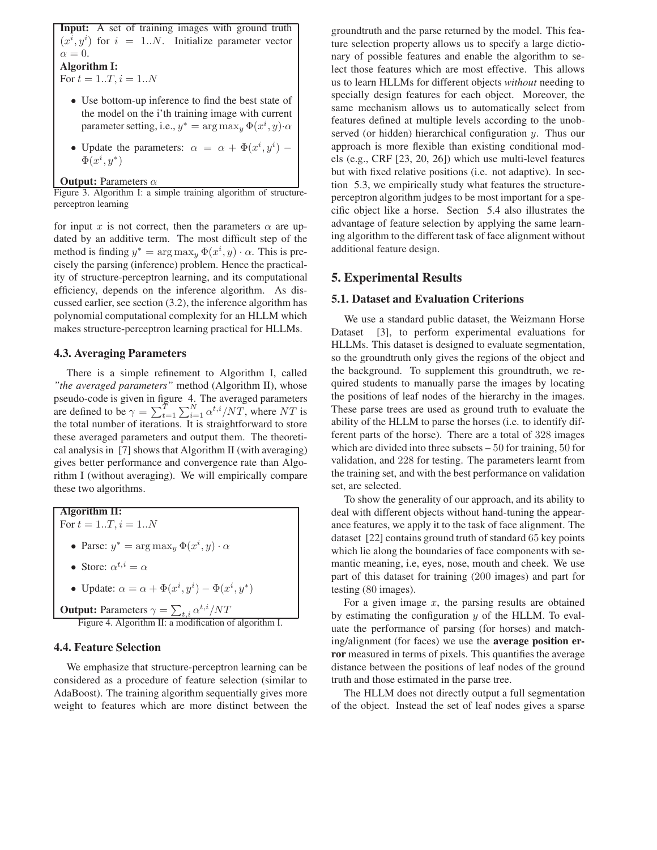**Input:** A set of training images with ground truth  $(x^{i}, y^{i})$  for  $i = 1..N$ . Initialize parameter vector  $\alpha = 0.$ **Algorithm I:** For  $t = 1..T, i = 1..N$ 

• Use bottom-up inference to find the best state of the model on the i'th training image with current parameter setting, i.e.,  $y^* = \arg \max_y \Phi(x^i, y) \cdot \alpha$ 

• Update the parameters:  $\alpha = \alpha + \Phi(x^i, y^i) - \Phi(x^i, y^*)$  $\Phi(x^i, y^*)$ 

**Output:** Parameters α

Figure 3. Algorithm I: a simple training algorithm of structureperceptron learning

for input x is not correct, then the parameters  $\alpha$  are updated by an additive term. The most difficult step of the method is finding  $y^* = \arg \max_y \Phi(x^i, y) \cdot \alpha$ . This is pre-<br>cisely the parsing (inference) problem. Hence the practicalcisely the parsing (inference) problem. Hence the practicality of structure-perceptron learning, and its computational efficiency, depends on the inference algorithm. As discussed earlier, see section (3.2), the inference algorithm has polynomial computational complexity for an HLLM which makes structure-perceptron learning practical for HLLMs.

### **4.3. Averaging Parameters**

There is a simple refinement to Algorithm I, called *"the averaged parameters"* method (Algorithm II), whose pseudo-code is given in figure 4. The averaged parameters are defined to be  $\gamma = \sum_{i=1}^{T} \sum_{i=1}^{N} \alpha^{t,i}/NT$ , where NT is the total number of iterations. It is straightforward to store the total number of iterations. It is straightforward to store these averaged parameters and output them. The theoretical analysis in [7] shows that Algorithm II (with averaging) gives better performance and convergence rate than Algorithm I (without averaging). We will empirically compare these two algorithms.

**Algorithm II:**

For  $t = 1..T, i = 1..N$ 

- Parse:  $y^* = \arg \max_y \Phi(x^i, y) \cdot \alpha$
- Store:  $\alpha^{t,i} = \alpha$

• Update: 
$$
\alpha = \alpha + \Phi(x^i, y^i) - \Phi(x^i, y^*)
$$

**Output:** Parameters  $\gamma = \sum_{t,i} \alpha^{t,i}/NT$ <br>Figure 4. Algorithm II: a modification of algorithm I.

### **4.4. Feature Selection**

We emphasize that structure-perceptron learning can be considered as a procedure of feature selection (similar to AdaBoost). The training algorithm sequentially gives more weight to features which are more distinct between the groundtruth and the parse returned by the model. This feature selection property allows us to specify a large dictionary of possible features and enable the algorithm to select those features which are most effective. This allows us to learn HLLMs for different objects *without* needing to specially design features for each object. Moreover, the same mechanism allows us to automatically select from features defined at multiple levels according to the unobserved (or hidden) hierarchical configuration y. Thus our approach is more flexible than existing conditional models (e.g., CRF [23, 20, 26]) which use multi-level features but with fixed relative positions (i.e. not adaptive). In section 5.3, we empirically study what features the structureperceptron algorithm judges to be most important for a specific object like a horse. Section 5.4 also illustrates the advantage of feature selection by applying the same learning algorithm to the different task of face alignment without additional feature design.

## **5. Experimental Results**

#### **5.1. Dataset and Evaluation Criterions**

We use a standard public dataset, the Weizmann Horse Dataset [3], to perform experimental evaluations for HLLMs. This dataset is designed to evaluate segmentation, so the groundtruth only gives the regions of the object and the background. To supplement this groundtruth, we required students to manually parse the images by locating the positions of leaf nodes of the hierarchy in the images. These parse trees are used as ground truth to evaluate the ability of the HLLM to parse the horses (i.e. to identify different parts of the horse). There are a total of 328 images which are divided into three subsets – 50 for training, 50 for validation, and 228 for testing. The parameters learnt from the training set, and with the best performance on validation set, are selected.

To show the generality of our approach, and its ability to deal with different objects without hand-tuning the appearance features, we apply it to the task of face alignment. The dataset [22] contains ground truth of standard 65 key points which lie along the boundaries of face components with semantic meaning, i.e, eyes, nose, mouth and cheek. We use part of this dataset for training (200 images) and part for testing (80 images).

For a given image  $x$ , the parsing results are obtained by estimating the configuration  $y$  of the HLLM. To evaluate the performance of parsing (for horses) and matching/alignment (for faces) we use the **average position error** measured in terms of pixels. This quantifies the average distance between the positions of leaf nodes of the ground truth and those estimated in the parse tree.

The HLLM does not directly output a full segmentation of the object. Instead the set of leaf nodes gives a sparse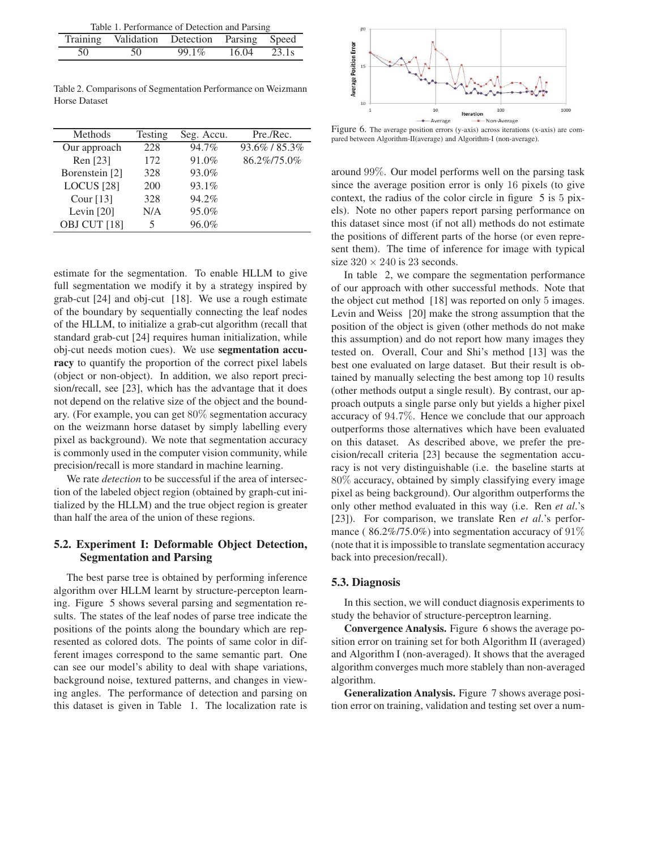| Table 1. Performance of Detection and Parsing |                                             |       |       |       |  |  |
|-----------------------------------------------|---------------------------------------------|-------|-------|-------|--|--|
|                                               | Training Validation Detection Parsing Speed |       |       |       |  |  |
| 50                                            | 50                                          | 99.1% | 16.04 | 23.1s |  |  |

Table 2. Comparisons of Segmentation Performance on Weizmann Horse Dataset

| Methods                 | Testing | Seg. Accu. | Pre./Rec.   |
|-------------------------|---------|------------|-------------|
| Our approach            | 228     | 94.7%      | 93.6%/85.3% |
| Ren [23]                | 172     | 91.0%      | 86.2%/75.0% |
| Borenstein [2]          | 328     | 93.0%      |             |
| LOCUS <sup>[28]</sup>   | 200     | 93.1%      |             |
| Cour $[13]$             | 328     | 94.2%      |             |
| Levin $[20]$            | N/A     | 95.0%      |             |
| OBJ CUT <sup>[18]</sup> |         | 96.0%      |             |

estimate for the segmentation. To enable HLLM to give full segmentation we modify it by a strategy inspired by grab-cut [24] and obj-cut [18]. We use a rough estimate of the boundary by sequentially connecting the leaf nodes of the HLLM, to initialize a grab-cut algorithm (recall that standard grab-cut [24] requires human initialization, while obj-cut needs motion cues). We use **segmentation accuracy** to quantify the proportion of the correct pixel labels (object or non-object). In addition, we also report precision/recall, see [23], which has the advantage that it does not depend on the relative size of the object and the boundary. (For example, you can get 80% segmentation accuracy on the weizmann horse dataset by simply labelling every pixel as background). We note that segmentation accuracy is commonly used in the computer vision community, while precision/recall is more standard in machine learning.

We rate *detection* to be successful if the area of intersection of the labeled object region (obtained by graph-cut initialized by the HLLM) and the true object region is greater than half the area of the union of these regions.

## **5.2. Experiment I: Deformable Object Detection, Segmentation and Parsing**

The best parse tree is obtained by performing inference algorithm over HLLM learnt by structure-percepton learning. Figure 5 shows several parsing and segmentation results. The states of the leaf nodes of parse tree indicate the positions of the points along the boundary which are represented as colored dots. The points of same color in different images correspond to the same semantic part. One can see our model's ability to deal with shape variations, background noise, textured patterns, and changes in viewing angles. The performance of detection and parsing on this dataset is given in Table 1. The localization rate is



Figure 6. The average position errors (y-axis) across iterations (x-axis) are compared between Algorithm-II(average) and Algorithm-I (non-average).

around 99%. Our model performs well on the parsing task since the average position error is only 16 pixels (to give context, the radius of the color circle in figure 5 is 5 pixels). Note no other papers report parsing performance on this dataset since most (if not all) methods do not estimate the positions of different parts of the horse (or even represent them). The time of inference for image with typical size  $320 \times 240$  is 23 seconds.

In table 2, we compare the segmentation performance of our approach with other successful methods. Note that the object cut method [18] was reported on only 5 images. Levin and Weiss [20] make the strong assumption that the position of the object is given (other methods do not make this assumption) and do not report how many images they tested on. Overall, Cour and Shi's method [13] was the best one evaluated on large dataset. But their result is obtained by manually selecting the best among top 10 results (other methods output a single result). By contrast, our approach outputs a single parse only but yields a higher pixel accuracy of 94.7%. Hence we conclude that our approach outperforms those alternatives which have been evaluated on this dataset. As described above, we prefer the precision/recall criteria [23] because the segmentation accuracy is not very distinguishable (i.e. the baseline starts at 80% accuracy, obtained by simply classifying every image pixel as being background). Our algorithm outperforms the only other method evaluated in this way (i.e. Ren *et al*.'s [23]). For comparison, we translate Ren *et al*.'s performance ( $86.2\%/75.0\%)$  into segmentation accuracy of  $91\%$ (note that it is impossible to translate segmentation accuracy back into precesion/recall).

#### **5.3. Diagnosis**

In this section, we will conduct diagnosis experiments to study the behavior of structure-perceptron learning.

**Convergence Analysis.** Figure 6 shows the average position error on training set for both Algorithm II (averaged) and Algorithm I (non-averaged). It shows that the averaged algorithm converges much more stablely than non-averaged algorithm.

**Generalization Analysis.** Figure 7 shows average position error on training, validation and testing set over a num-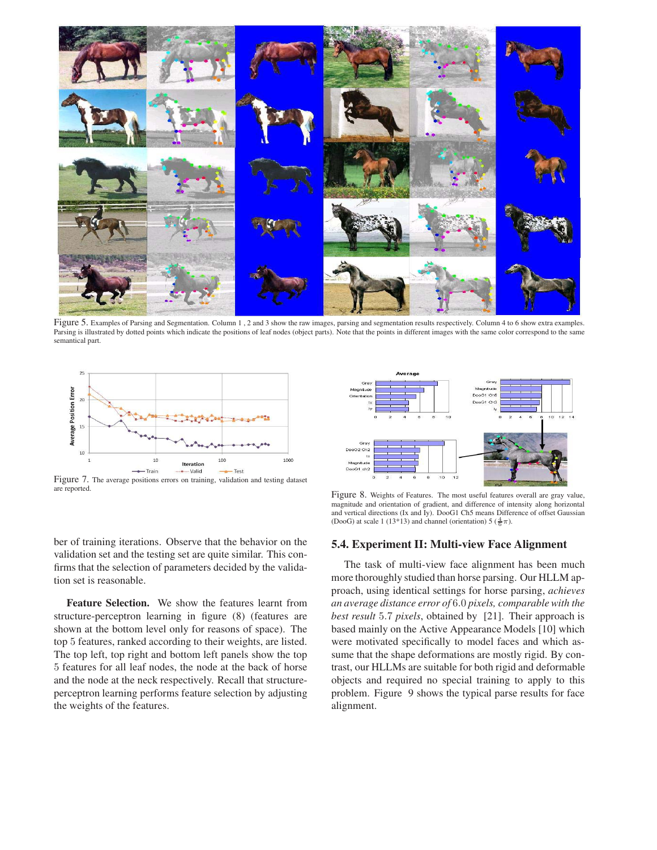

Figure 5. Examples of Parsing and Segmentation. Column 1, 2 and 3 show the raw images, parsing and segmentation results respectively. Column 4 to 6 show extra examples. Parsing is illustrated by dotted points which indicate the positions of leaf nodes (object parts). Note that the points in different images with the same color correspond to the same semantical part.



Figure 7. The average positions errors on training, validation and testing dataset are reported.



Figure 8. Weights of Features. The most useful features overall are gray value, magnitude and orientation of gradient, and difference of intensity along horizontal and vertical directions (Ix and Iy). DooG1 Ch5 means Difference of offset Gaussian (DooG) at scale 1 (13\*13) and channel (orientation) 5 ( $\frac{4}{6}\pi$ ).

#### **5.4. Experiment II: Multi-view Face Alignment**

The task of multi-view face alignment has been much more thoroughly studied than horse parsing. Our HLLM approach, using identical settings for horse parsing, *achieves an average distance error of* 6.0 *pixels, comparable with the best result* 5.7 *pixels*, obtained by [21]. Their approach is based mainly on the Active Appearance Models [10] which were motivated specifically to model faces and which assume that the shape deformations are mostly rigid. By contrast, our HLLMs are suitable for both rigid and deformable objects and required no special training to apply to this problem. Figure 9 shows the typical parse results for face alignment.

ber of training iterations. Observe that the behavior on the validation set and the testing set are quite similar. This confirms that the selection of parameters decided by the validation set is reasonable.

**Feature Selection.** We show the features learnt from structure-perceptron learning in figure (8) (features are shown at the bottom level only for reasons of space). The top 5 features, ranked according to their weights, are listed. The top left, top right and bottom left panels show the top 5 features for all leaf nodes, the node at the back of horse and the node at the neck respectively. Recall that structureperceptron learning performs feature selection by adjusting the weights of the features.